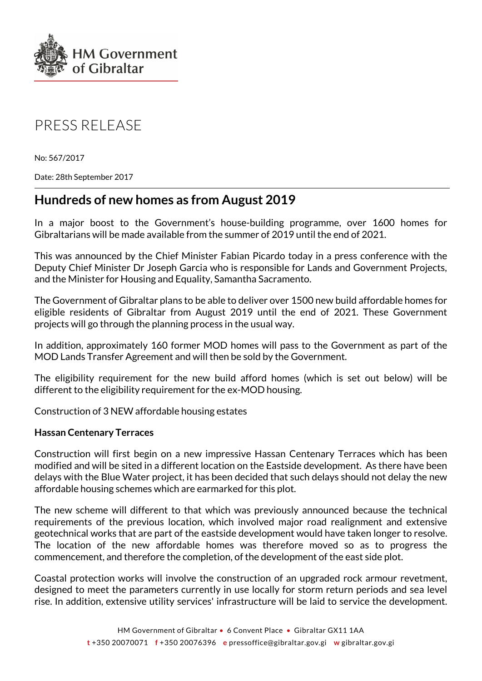

# PRESS RELEASE

No: 567/2017

Date: 28th September 2017

# **Hundreds of new homes as from August 2019**

In a major boost to the Government's house-building programme, over 1600 homes for Gibraltarians will be made available from the summer of 2019 until the end of 2021.

This was announced by the Chief Minister Fabian Picardo today in a press conference with the Deputy Chief Minister Dr Joseph Garcia who is responsible for Lands and Government Projects, and the Minister for Housing and Equality, Samantha Sacramento.

The Government of Gibraltar plans to be able to deliver over 1500 new build affordable homes for eligible residents of Gibraltar from August 2019 until the end of 2021. These Government projects will go through the planning process in the usual way.

In addition, approximately 160 former MOD homes will pass to the Government as part of the MOD Lands Transfer Agreement and will then be sold by the Government.

The eligibility requirement for the new build afford homes (which is set out below) will be different to the eligibility requirement for the ex-MOD housing.

Construction of 3 NEW affordable housing estates

#### **Hassan Centenary Terraces**

Construction will first begin on a new impressive Hassan Centenary Terraces which has been modified and will be sited in a different location on the Eastside development. As there have been delays with the Blue Water project, it has been decided that such delays should not delay the new affordable housing schemes which are earmarked for this plot.

The new scheme will different to that which was previously announced because the technical requirements of the previous location, which involved major road realignment and extensive geotechnical works that are part of the eastside development would have taken longer to resolve. The location of the new affordable homes was therefore moved so as to progress the commencement, and therefore the completion, of the development of the east side plot.

Coastal protection works will involve the construction of an upgraded rock armour revetment, designed to meet the parameters currently in use locally for storm return periods and sea level rise. In addition, extensive utility services' infrastructure will be laid to service the development.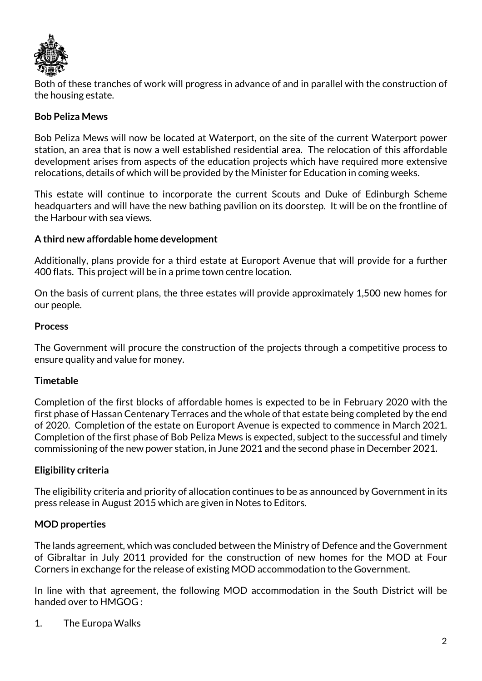

Both of these tranches of work will progress in advance of and in parallel with the construction of the housing estate.

## **Bob Peliza Mews**

Bob Peliza Mews will now be located at Waterport, on the site of the current Waterport power station, an area that is now a well established residential area. The relocation of this affordable development arises from aspects of the education projects which have required more extensive relocations, details of which will be provided by the Minister for Education in coming weeks.

This estate will continue to incorporate the current Scouts and Duke of Edinburgh Scheme headquarters and will have the new bathing pavilion on its doorstep. It will be on the frontline of the Harbour with sea views.

### **A third new affordable home development**

Additionally, plans provide for a third estate at Europort Avenue that will provide for a further 400 flats. This project will be in a prime town centre location.

On the basis of current plans, the three estates will provide approximately 1,500 new homes for our people.

#### **Process**

The Government will procure the construction of the projects through a competitive process to ensure quality and value for money.

#### **Timetable**

Completion of the first blocks of affordable homes is expected to be in February 2020 with the first phase of Hassan Centenary Terraces and the whole of that estate being completed by the end of 2020. Completion of the estate on Europort Avenue is expected to commence in March 2021. Completion of the first phase of Bob Peliza Mews is expected, subject to the successful and timely commissioning of the new power station, in June 2021 and the second phase in December 2021.

#### **Eligibility criteria**

The eligibility criteria and priority of allocation continues to be as announced by Government in its press release in August 2015 which are given in Notes to Editors.

# **MOD properties**

The lands agreement, which was concluded between the Ministry of Defence and the Government of Gibraltar in July 2011 provided for the construction of new homes for the MOD at Four Corners in exchange for the release of existing MOD accommodation to the Government.

In line with that agreement, the following MOD accommodation in the South District will be handed over to HMGOG :

1. The Europa Walks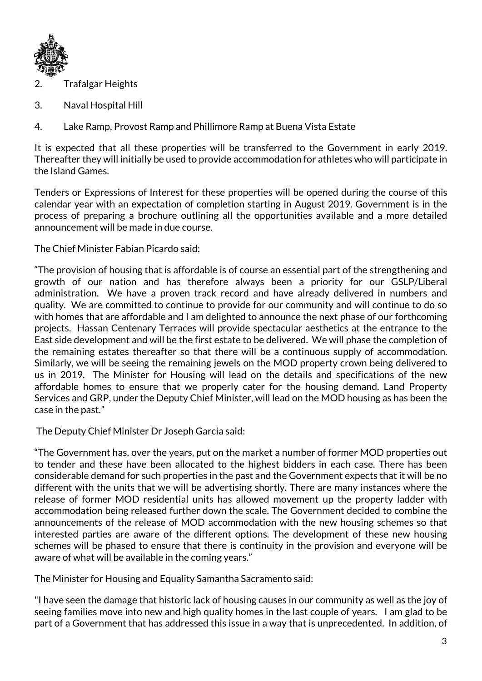

- 2. Trafalgar Heights
- 3. Naval Hospital Hill
- 4. Lake Ramp, Provost Ramp and Phillimore Ramp at Buena Vista Estate

It is expected that all these properties will be transferred to the Government in early 2019. Thereafter they will initially be used to provide accommodation for athletes who will participate in the Island Games.

Tenders or Expressions of Interest for these properties will be opened during the course of this calendar year with an expectation of completion starting in August 2019. Government is in the process of preparing a brochure outlining all the opportunities available and a more detailed announcement will be made in due course.

The Chief Minister Fabian Picardo said:

"The provision of housing that is affordable is of course an essential part of the strengthening and growth of our nation and has therefore always been a priority for our GSLP/Liberal administration. We have a proven track record and have already delivered in numbers and quality. We are committed to continue to provide for our community and will continue to do so with homes that are affordable and I am delighted to announce the next phase of our forthcoming projects. Hassan Centenary Terraces will provide spectacular aesthetics at the entrance to the East side development and will be the first estate to be delivered. We will phase the completion of the remaining estates thereafter so that there will be a continuous supply of accommodation. Similarly, we will be seeing the remaining jewels on the MOD property crown being delivered to us in 2019. The Minister for Housing will lead on the details and specifications of the new affordable homes to ensure that we properly cater for the housing demand. Land Property Services and GRP, under the Deputy Chief Minister, will lead on the MOD housing as has been the case in the past."

The Deputy Chief Minister Dr Joseph Garcia said:

"The Government has, over the years, put on the market a number of former MOD properties out to tender and these have been allocated to the highest bidders in each case. There has been considerable demand for such properties in the past and the Government expects that it will be no different with the units that we will be advertising shortly. There are many instances where the release of former MOD residential units has allowed movement up the property ladder with accommodation being released further down the scale. The Government decided to combine the announcements of the release of MOD accommodation with the new housing schemes so that interested parties are aware of the different options. The development of these new housing schemes will be phased to ensure that there is continuity in the provision and everyone will be aware of what will be available in the coming years."

The Minister for Housing and Equality Samantha Sacramento said:

"I have seen the damage that historic lack of housing causes in our community as well as the joy of seeing families move into new and high quality homes in the last couple of years. I am glad to be part of a Government that has addressed this issue in a way that is unprecedented. In addition, of